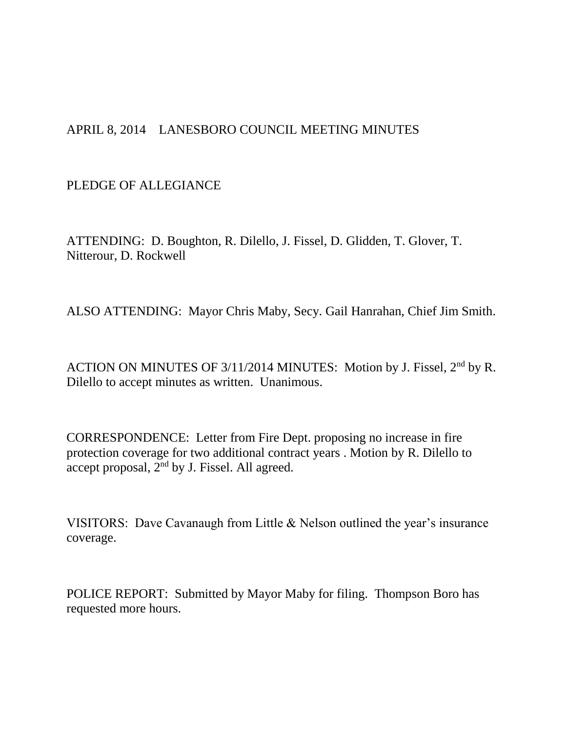## APRIL 8, 2014 LANESBORO COUNCIL MEETING MINUTES

## PLEDGE OF ALLEGIANCE

ATTENDING: D. Boughton, R. Dilello, J. Fissel, D. Glidden, T. Glover, T. Nitterour, D. Rockwell

ALSO ATTENDING: Mayor Chris Maby, Secy. Gail Hanrahan, Chief Jim Smith.

ACTION ON MINUTES OF 3/11/2014 MINUTES: Motion by J. Fissel, 2<sup>nd</sup> by R. Dilello to accept minutes as written. Unanimous.

CORRESPONDENCE: Letter from Fire Dept. proposing no increase in fire protection coverage for two additional contract years . Motion by R. Dilello to accept proposal, 2nd by J. Fissel. All agreed.

VISITORS: Dave Cavanaugh from Little & Nelson outlined the year's insurance coverage.

POLICE REPORT: Submitted by Mayor Maby for filing. Thompson Boro has requested more hours.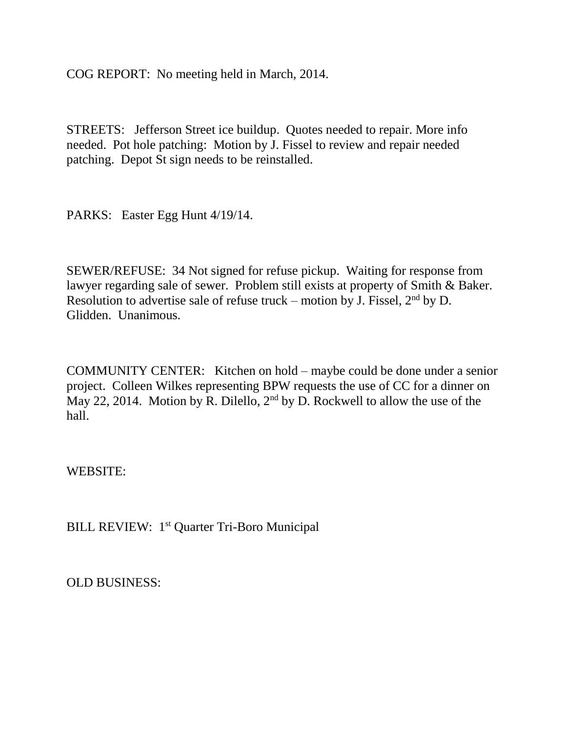COG REPORT: No meeting held in March, 2014.

STREETS: Jefferson Street ice buildup. Quotes needed to repair. More info needed. Pot hole patching: Motion by J. Fissel to review and repair needed patching. Depot St sign needs to be reinstalled.

PARKS: Easter Egg Hunt 4/19/14.

SEWER/REFUSE: 34 Not signed for refuse pickup. Waiting for response from lawyer regarding sale of sewer. Problem still exists at property of Smith & Baker. Resolution to advertise sale of refuse truck – motion by J. Fissel,  $2<sup>nd</sup>$  by D. Glidden. Unanimous.

COMMUNITY CENTER: Kitchen on hold – maybe could be done under a senior project. Colleen Wilkes representing BPW requests the use of CC for a dinner on May 22, 2014. Motion by R. Dilello,  $2<sup>nd</sup>$  by D. Rockwell to allow the use of the hall.

WEBSITE:

BILL REVIEW: 1<sup>st</sup> Quarter Tri-Boro Municipal

OLD BUSINESS: